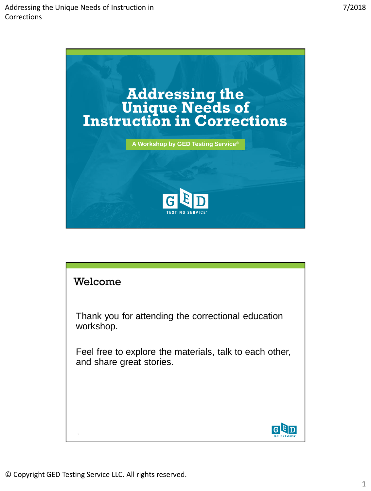

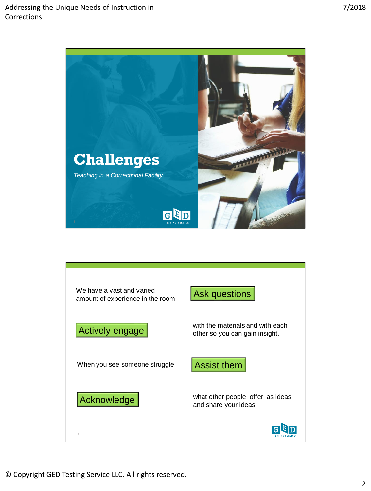

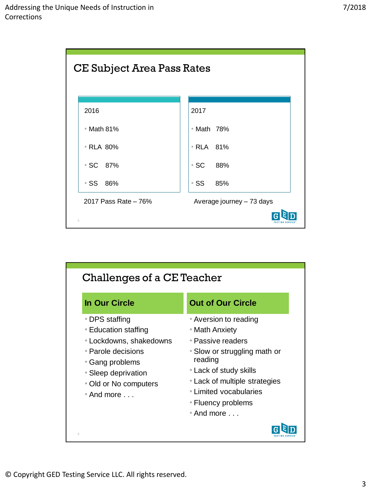

| Challenges of a CE Teacher                                                                                                                                                                        |                                                                                                                                                                                                                                                   |  |
|---------------------------------------------------------------------------------------------------------------------------------------------------------------------------------------------------|---------------------------------------------------------------------------------------------------------------------------------------------------------------------------------------------------------------------------------------------------|--|
| <b>In Our Circle</b>                                                                                                                                                                              | <b>Out of Our Circle</b>                                                                                                                                                                                                                          |  |
| ∙ DPS staffing<br>• Education staffing<br>• Lockdowns, shakedowns<br>$\bullet$ Parole decisions<br>• Gang problems<br>• Sleep deprivation<br>• Old or No computers<br>$\bullet$ And more $\ldots$ | • Aversion to reading<br>• Math Anxiety<br>∙ Passive readers<br>• Slow or struggling math or<br>reading<br>• Lack of study skills<br>• Lack of multiple strategies<br>∙ Limited vocabularies<br>• Fluency problems<br>$\bullet$ And more $\ldots$ |  |
| 6                                                                                                                                                                                                 |                                                                                                                                                                                                                                                   |  |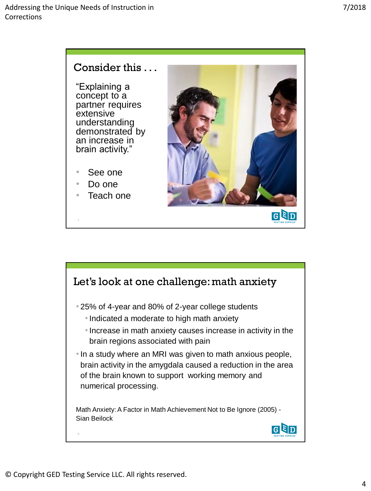### Consider this . . .

"Explaining a concept to a partner requires extensive understanding demonstrated by an increase in brain activity."

- See one
- Do one
- Teach one



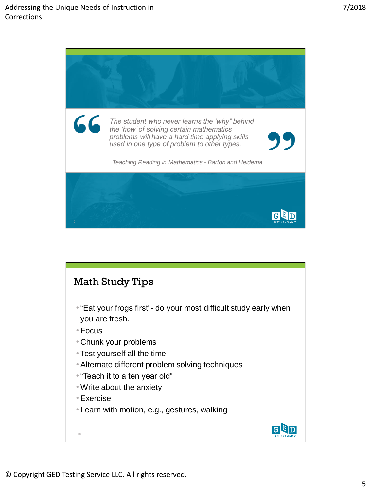

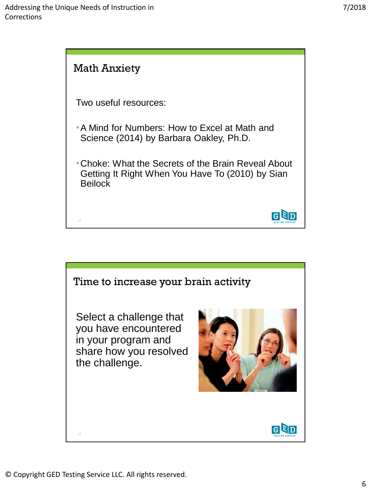

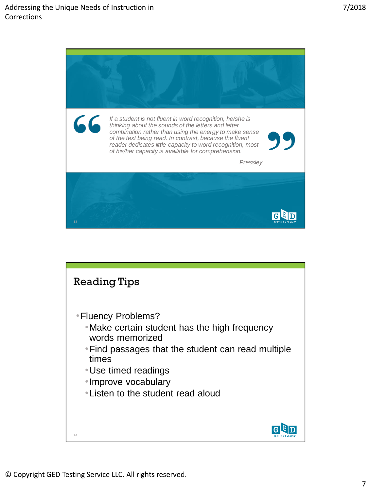

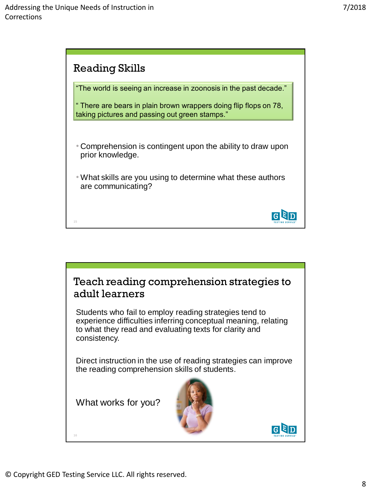



© Copyright GED Testing Service LLC. All rights reserved.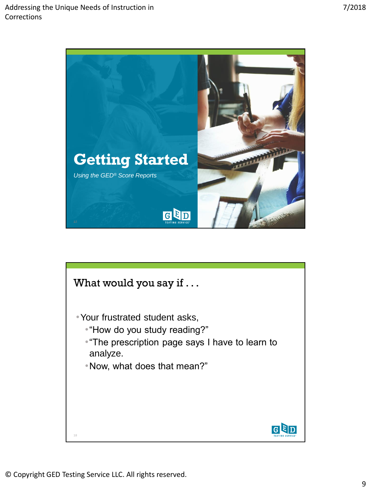

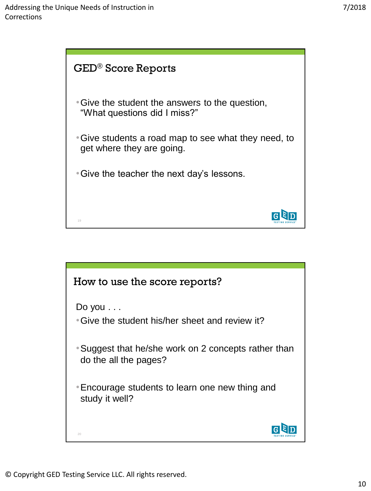

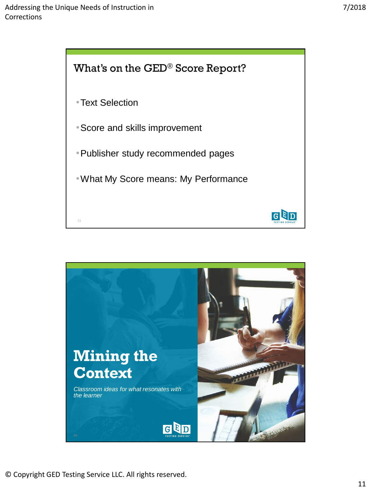



© Copyright GED Testing Service LLC. All rights reserved.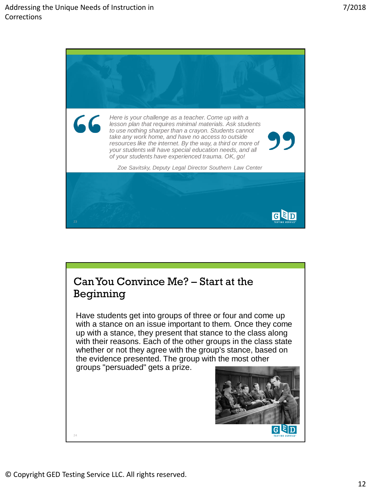

## Can You Convince Me? – Start at the Beginning

Have students get into groups of three or four and come up with a stance on an issue important to them. Once they come up with a stance, they present that stance to the class along with their reasons. Each of the other groups in the class state whether or not they agree with the group's stance, based on the evidence presented. The group with the most other

groups "persuaded" gets a prize.



24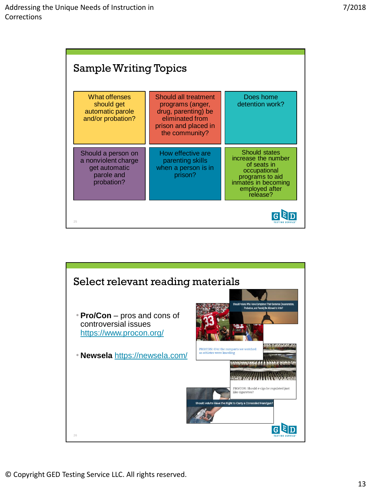| <b>Sample Writing Topics</b>                                                           |                                                                                                                              |                                                                                                                                             |
|----------------------------------------------------------------------------------------|------------------------------------------------------------------------------------------------------------------------------|---------------------------------------------------------------------------------------------------------------------------------------------|
| What offenses<br>should get<br>automatic parole<br>and/or probation?                   | Should all treatment<br>programs (anger,<br>drug, parenting) be<br>eliminated from<br>prison and placed in<br>the community? | Does home<br>detention work?                                                                                                                |
| Should a person on<br>a nonviolent charge<br>get automatic<br>parole and<br>probation? | How effective are<br>parenting skills<br>when a person is in<br>prison?                                                      | Should states<br>increase the number<br>of seats in<br>occupational<br>programs to aid<br>inmates in becoming<br>employed after<br>release? |
| 25                                                                                     |                                                                                                                              |                                                                                                                                             |

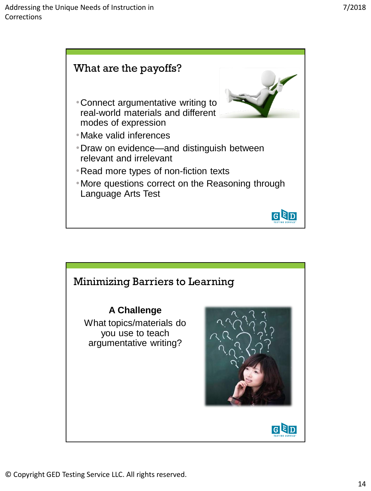

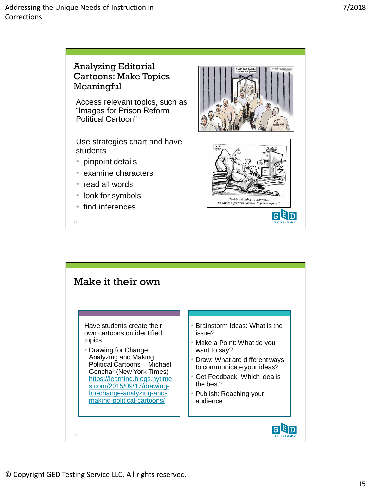

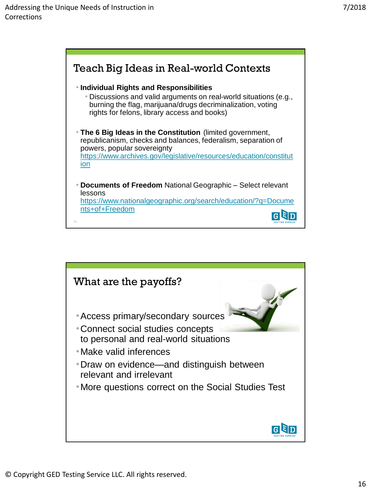

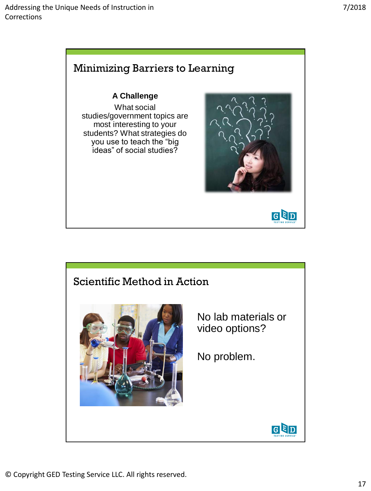

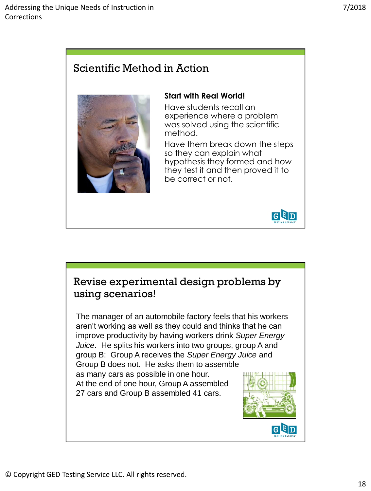# Scientific Method in Action



#### **Start with Real World!**

Have students recall an experience where a problem was solved using the scientific method.

Have them break down the steps so they can explain what hypothesis they formed and how they test it and then proved it to be correct or not.



## Revise experimental design problems by using scenarios!

The manager of an automobile factory feels that his workers aren't working as well as they could and thinks that he can improve productivity by having workers drink *Super Energy Juice*. He splits his workers into two groups, group A and group B: Group A receives the *Super Energy Juice* and Group B does not. He asks them to assemble

as many cars as possible in one hour. At the end of one hour, Group A assembled 27 cars and Group B assembled 41 cars.

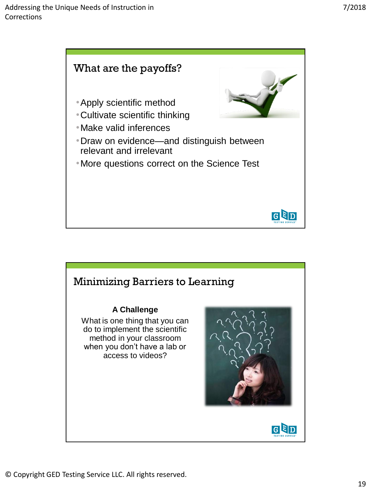

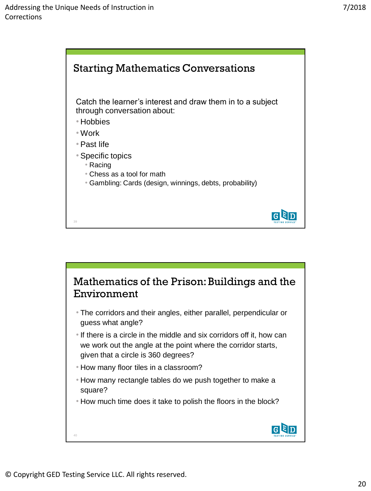

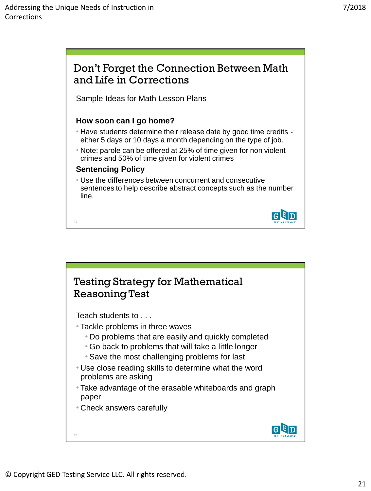



© Copyright GED Testing Service LLC. All rights reserved.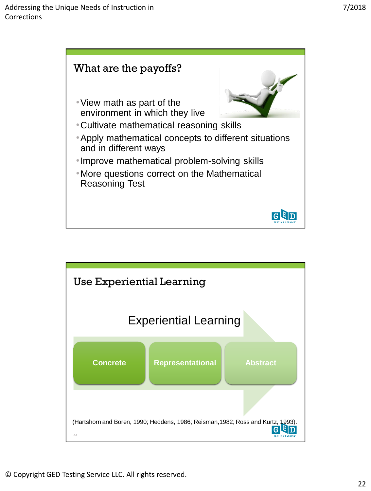

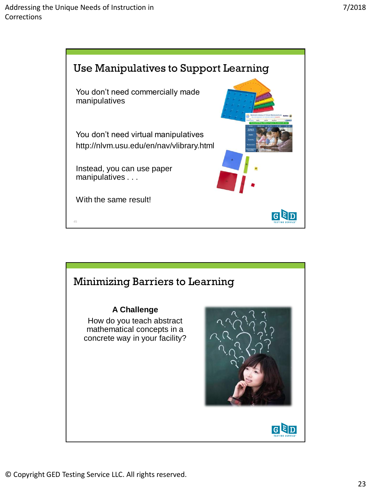

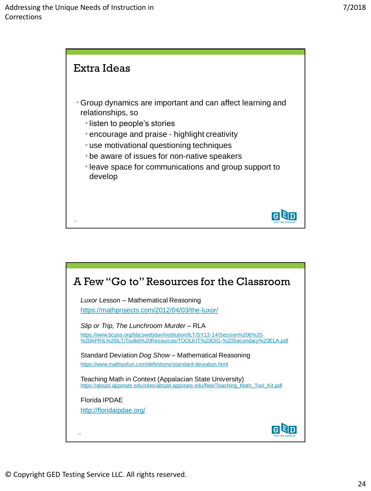

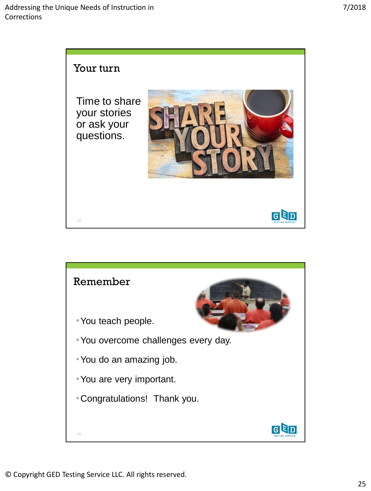

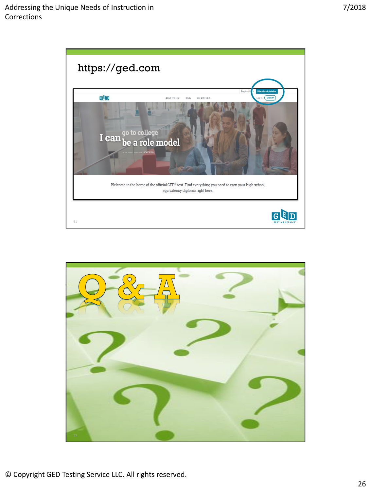